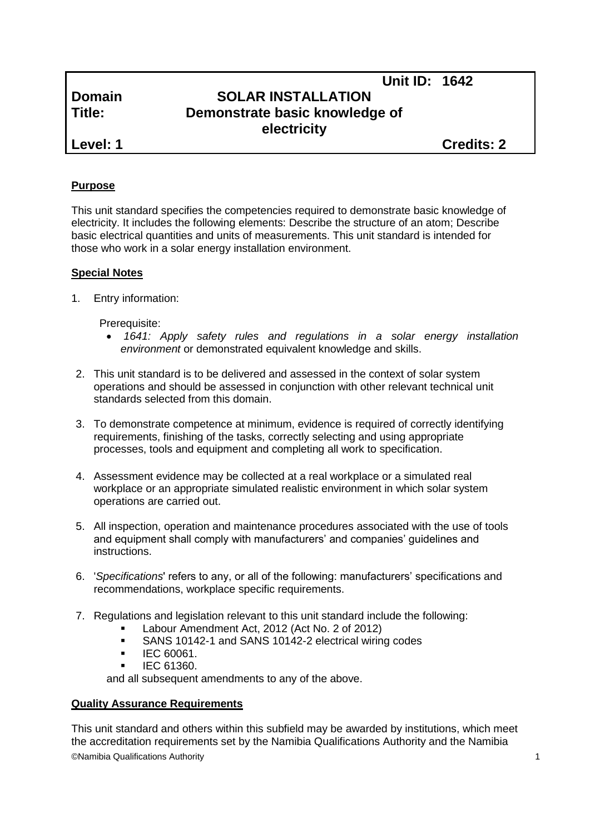# **Unit ID: 1642 Domain SOLAR INSTALLATION Title: Demonstrate basic knowledge of electricity**

**Level: 1 Credits: 2**

# **Purpose**

This unit standard specifies the competencies required to demonstrate basic knowledge of electricity. It includes the following elements: Describe the structure of an atom; Describe basic electrical quantities and units of measurements. This unit standard is intended for those who work in a solar energy installation environment.

# **Special Notes**

1. Entry information:

Prerequisite:

- *1641: Apply safety rules and regulations in a solar energy installation environment* or demonstrated equivalent knowledge and skills.
- 2. This unit standard is to be delivered and assessed in the context of solar system operations and should be assessed in conjunction with other relevant technical unit standards selected from this domain.
- 3. To demonstrate competence at minimum, evidence is required of correctly identifying requirements, finishing of the tasks, correctly selecting and using appropriate processes, tools and equipment and completing all work to specification.
- 4. Assessment evidence may be collected at a real workplace or a simulated real workplace or an appropriate simulated realistic environment in which solar system operations are carried out.
- 5. All inspection, operation and maintenance procedures associated with the use of tools and equipment shall comply with manufacturers' and companies' guidelines and instructions.
- 6. '*Specifications*' refers to any, or all of the following: manufacturers' specifications and recommendations, workplace specific requirements.
- 7. Regulations and legislation relevant to this unit standard include the following:
	- Labour Amendment Act, 2012 (Act No. 2 of 2012)
	- SANS 10142-1 and SANS 10142-2 electrical wiring codes
	- $\blacksquare$  IEC 60061.
	- IEC 61360.

and all subsequent amendments to any of the above.

# **Quality Assurance Requirements**

©Namibia Qualifications Authority 1 This unit standard and others within this subfield may be awarded by institutions, which meet the accreditation requirements set by the Namibia Qualifications Authority and the Namibia